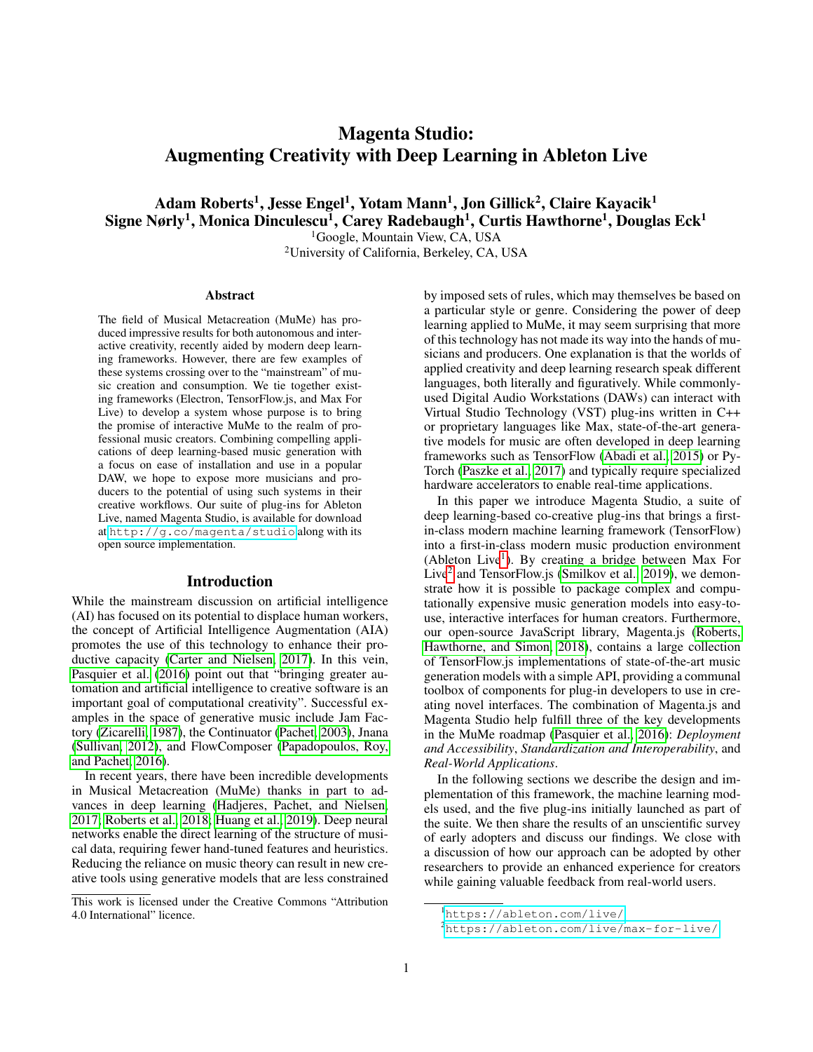# Magenta Studio: Augmenting Creativity with Deep Learning in Ableton Live

Adam Roberts<sup>1</sup>, Jesse Engel<sup>1</sup>, Yotam Mann<sup>1</sup>, Jon Gillick<sup>2</sup>, Claire Kayacik<sup>1</sup> Signe Nørly<sup>1</sup>, Monica Dinculescu<sup>1</sup>, Carey Radebaugh<sup>1</sup>, Curtis Hawthorne<sup>1</sup>, Douglas Eck<sup>1</sup>

<sup>1</sup>Google, Mountain View, CA, USA <sup>2</sup>University of California, Berkeley, CA, USA

#### Abstract

The field of Musical Metacreation (MuMe) has produced impressive results for both autonomous and interactive creativity, recently aided by modern deep learning frameworks. However, there are few examples of these systems crossing over to the "mainstream" of music creation and consumption. We tie together existing frameworks (Electron, TensorFlow.js, and Max For Live) to develop a system whose purpose is to bring the promise of interactive MuMe to the realm of professional music creators. Combining compelling applications of deep learning-based music generation with a focus on ease of installation and use in a popular DAW, we hope to expose more musicians and producers to the potential of using such systems in their creative workflows. Our suite of plug-ins for Ableton Live, named Magenta Studio, is available for download at <http://g.co/magenta/studio> along with its open source implementation.

#### Introduction

While the mainstream discussion on artificial intelligence (AI) has focused on its potential to displace human workers, the concept of Artificial Intelligence Augmentation (AIA) promotes the use of this technology to enhance their productive capacity [\(Carter and Nielsen, 2017\)](#page-5-0). In this vein, [Pasquier et al.](#page-6-0) [\(2016\)](#page-6-0) point out that "bringing greater automation and artificial intelligence to creative software is an important goal of computational creativity". Successful examples in the space of generative music include Jam Factory [\(Zicarelli, 1987\)](#page-6-1), the Continuator [\(Pachet, 2003\)](#page-5-1), Jnana [\(Sullivan, 2012\)](#page-6-2), and FlowComposer [\(Papadopoulos, Roy,](#page-5-2) [and Pachet, 2016\)](#page-5-2).

In recent years, there have been incredible developments in Musical Metacreation (MuMe) thanks in part to advances in deep learning [\(Hadjeres, Pachet, and Nielsen,](#page-5-3) [2017;](#page-5-3) [Roberts et al., 2018;](#page-6-3) [Huang et al., 2019\)](#page-5-4). Deep neural networks enable the direct learning of the structure of musical data, requiring fewer hand-tuned features and heuristics. Reducing the reliance on music theory can result in new creative tools using generative models that are less constrained

by imposed sets of rules, which may themselves be based on a particular style or genre. Considering the power of deep learning applied to MuMe, it may seem surprising that more of this technology has not made its way into the hands of musicians and producers. One explanation is that the worlds of applied creativity and deep learning research speak different languages, both literally and figuratively. While commonlyused Digital Audio Workstations (DAWs) can interact with Virtual Studio Technology (VST) plug-ins written in C++ or proprietary languages like Max, state-of-the-art generative models for music are often developed in deep learning frameworks such as TensorFlow [\(Abadi et al., 2015\)](#page-5-5) or Py-Torch [\(Paszke et al., 2017\)](#page-6-4) and typically require specialized hardware accelerators to enable real-time applications.

In this paper we introduce Magenta Studio, a suite of deep learning-based co-creative plug-ins that brings a firstin-class modern machine learning framework (TensorFlow) into a first-in-class modern music production environment (Ableton Live<sup>[1](#page-0-0)</sup>). By creating a bridge between Max For Live<sup>[2](#page-0-1)</sup> and TensorFlow.js [\(Smilkov et al., 2019\)](#page-6-5), we demonstrate how it is possible to package complex and computationally expensive music generation models into easy-touse, interactive interfaces for human creators. Furthermore, our open-source JavaScript library, Magenta.js [\(Roberts,](#page-6-6) [Hawthorne, and Simon, 2018\)](#page-6-6), contains a large collection of TensorFlow.js implementations of state-of-the-art music generation models with a simple API, providing a communal toolbox of components for plug-in developers to use in creating novel interfaces. The combination of Magenta.js and Magenta Studio help fulfill three of the key developments in the MuMe roadmap [\(Pasquier et al., 2016\)](#page-6-0): *Deployment and Accessibility*, *Standardization and Interoperability*, and *Real-World Applications*.

In the following sections we describe the design and implementation of this framework, the machine learning models used, and the five plug-ins initially launched as part of the suite. We then share the results of an unscientific survey of early adopters and discuss our findings. We close with a discussion of how our approach can be adopted by other researchers to provide an enhanced experience for creators while gaining valuable feedback from real-world users.

This work is licensed under the Creative Commons "Attribution 4.0 International" licence.

<span id="page-0-0"></span><sup>1</sup><https://ableton.com/live/>

<span id="page-0-1"></span><sup>2</sup><https://ableton.com/live/max-for-live/>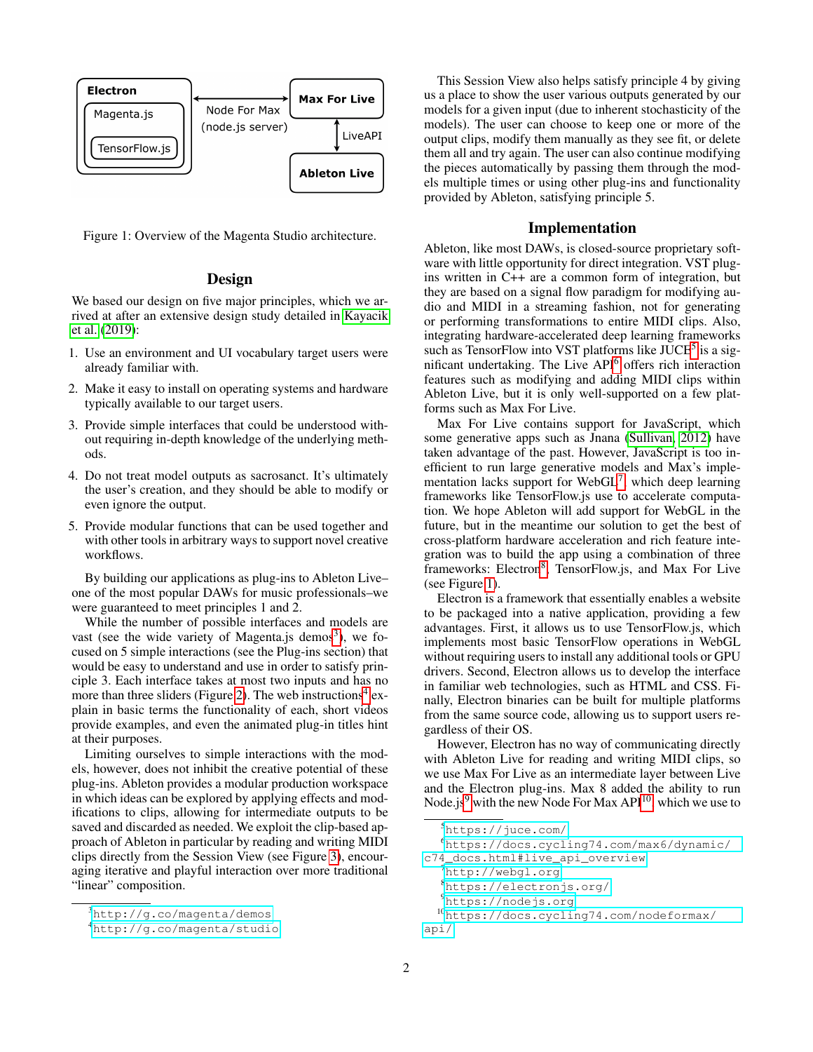

Figure 1: Overview of the Magenta Studio architecture.

## <span id="page-1-6"></span>Design

We based our design on five major principles, which we arrived at after an extensive design study detailed in [Kayacik](#page-5-6) [et al.](#page-5-6) [\(2019\)](#page-5-6):

- 1. Use an environment and UI vocabulary target users were already familiar with.
- 2. Make it easy to install on operating systems and hardware typically available to our target users.
- 3. Provide simple interfaces that could be understood without requiring in-depth knowledge of the underlying methods.
- 4. Do not treat model outputs as sacrosanct. It's ultimately the user's creation, and they should be able to modify or even ignore the output.
- 5. Provide modular functions that can be used together and with other tools in arbitrary ways to support novel creative workflows.

By building our applications as plug-ins to Ableton Live– one of the most popular DAWs for music professionals–we were guaranteed to meet principles 1 and 2.

While the number of possible interfaces and models are vast (see the wide variety of Magenta.js demos<sup>[3](#page-1-0)</sup>), we focused on 5 simple interactions (see the Plug-ins section) that would be easy to understand and use in order to satisfy principle 3. Each interface takes at most two inputs and has no more than three sliders (Figure [2\)](#page-2-0). The web instructions<sup>[4](#page-1-1)</sup> explain in basic terms the functionality of each, short videos provide examples, and even the animated plug-in titles hint at their purposes.

Limiting ourselves to simple interactions with the models, however, does not inhibit the creative potential of these plug-ins. Ableton provides a modular production workspace in which ideas can be explored by applying effects and modifications to clips, allowing for intermediate outputs to be saved and discarded as needed. We exploit the clip-based approach of Ableton in particular by reading and writing MIDI clips directly from the Session View (see Figure [3\)](#page-3-0), encouraging iterative and playful interaction over more traditional "linear" composition.

This Session View also helps satisfy principle 4 by giving us a place to show the user various outputs generated by our models for a given input (due to inherent stochasticity of the models). The user can choose to keep one or more of the output clips, modify them manually as they see fit, or delete them all and try again. The user can also continue modifying the pieces automatically by passing them through the models multiple times or using other plug-ins and functionality provided by Ableton, satisfying principle 5.

## Implementation

Ableton, like most DAWs, is closed-source proprietary software with little opportunity for direct integration. VST plugins written in C++ are a common form of integration, but they are based on a signal flow paradigm for modifying audio and MIDI in a streaming fashion, not for generating or performing transformations to entire MIDI clips. Also, integrating hardware-accelerated deep learning frameworks such as TensorFlow into VST platforms like JUCE<sup>[5](#page-1-2)</sup> is a significant undertaking. The Live API[6](#page-1-3) offers rich interaction features such as modifying and adding MIDI clips within Ableton Live, but it is only well-supported on a few platforms such as Max For Live.

Max For Live contains support for JavaScript, which some generative apps such as Jnana [\(Sullivan, 2012\)](#page-6-2) have taken advantage of the past. However, JavaScript is too inefficient to run large generative models and Max's imple-mentation lacks support for WebGL<sup>[7](#page-1-4)</sup>, which deep learning frameworks like TensorFlow.js use to accelerate computation. We hope Ableton will add support for WebGL in the future, but in the meantime our solution to get the best of cross-platform hardware acceleration and rich feature integration was to build the app using a combination of three frameworks: Electron<sup>[8](#page-1-5)</sup>, TensorFlow.js, and Max For Live (see Figure [1\)](#page-1-6).

Electron is a framework that essentially enables a website to be packaged into a native application, providing a few advantages. First, it allows us to use TensorFlow.js, which implements most basic TensorFlow operations in WebGL without requiring users to install any additional tools or GPU drivers. Second, Electron allows us to develop the interface in familiar web technologies, such as HTML and CSS. Finally, Electron binaries can be built for multiple platforms from the same source code, allowing us to support users regardless of their OS.

However, Electron has no way of communicating directly with Ableton Live for reading and writing MIDI clips, so we use Max For Live as an intermediate layer between Live and the Electron plug-ins. Max 8 added the ability to run Node.js<sup>[9](#page-1-7)</sup> with the new Node For Max API<sup>[10](#page-1-8)</sup>, which we use to

```
5https://juce.com/
```

```
6https://docs.cycling74.com/max6/dynamic/
```

```
c74_docs.html#live_api_overview
```
<span id="page-1-4"></span><sup>7</sup><http://webgl.org>

<span id="page-1-5"></span><sup>8</sup><https://electronjs.org/>

<span id="page-1-8"></span><span id="page-1-7"></span><sup>9</sup><https://nodejs.org>

<span id="page-1-0"></span><sup>3</sup><http://g.co/magenta/demos>

<span id="page-1-1"></span><sup>4</sup><http://g.co/magenta/studio>

<sup>10</sup>[https://docs.cycling74.com/nodeformax/](https://docs.cycling74.com/nodeformax/api/) [api/](https://docs.cycling74.com/nodeformax/api/)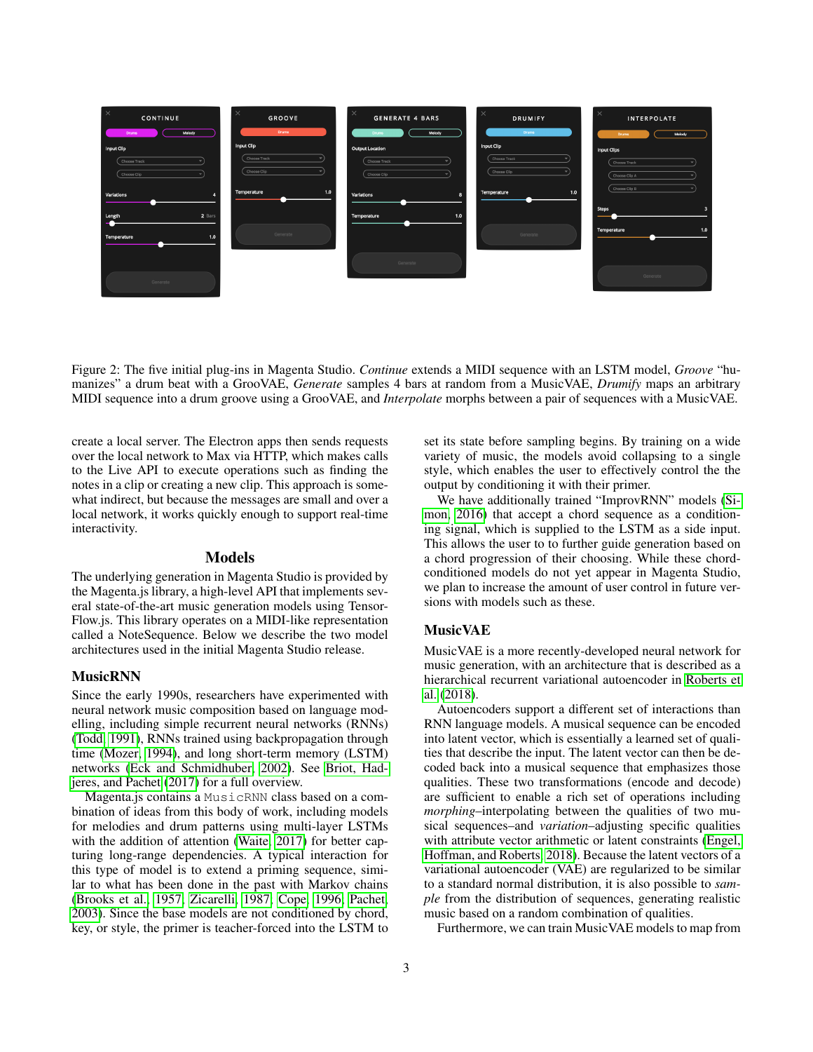

Figure 2: The five initial plug-ins in Magenta Studio. *Continue* extends a MIDI sequence with an LSTM model, *Groove* "humanizes" a drum beat with a GrooVAE, *Generate* samples 4 bars at random from a MusicVAE, *Drumify* maps an arbitrary MIDI sequence into a drum groove using a GrooVAE, and *Interpolate* morphs between a pair of sequences with a MusicVAE.

create a local server. The Electron apps then sends requests over the local network to Max via HTTP, which makes calls to the Live API to execute operations such as finding the notes in a clip or creating a new clip. This approach is somewhat indirect, but because the messages are small and over a local network, it works quickly enough to support real-time interactivity.

#### Models

The underlying generation in Magenta Studio is provided by the Magenta.js library, a high-level API that implements several state-of-the-art music generation models using Tensor-Flow.js. This library operates on a MIDI-like representation called a NoteSequence. Below we describe the two model architectures used in the initial Magenta Studio release.

#### MusicRNN

Since the early 1990s, researchers have experimented with neural network music composition based on language modelling, including simple recurrent neural networks (RNNs) [\(Todd, 1991\)](#page-6-7), RNNs trained using backpropagation through time [\(Mozer, 1994\)](#page-5-7), and long short-term memory (LSTM) networks [\(Eck and Schmidhuber, 2002\)](#page-5-8). See [Briot, Had](#page-5-9)[jeres, and Pachet](#page-5-9) [\(2017\)](#page-5-9) for a full overview.

Magenta.js contains a MusicRNN class based on a combination of ideas from this body of work, including models for melodies and drum patterns using multi-layer LSTMs with the addition of attention [\(Waite, 2017\)](#page-6-8) for better capturing long-range dependencies. A typical interaction for this type of model is to extend a priming sequence, similar to what has been done in the past with Markov chains [\(Brooks et al., 1957;](#page-5-10) [Zicarelli, 1987;](#page-6-1) [Cope, 1996;](#page-5-11) [Pachet,](#page-5-1) [2003\)](#page-5-1). Since the base models are not conditioned by chord, key, or style, the primer is teacher-forced into the LSTM to <span id="page-2-0"></span>set its state before sampling begins. By training on a wide variety of music, the models avoid collapsing to a single style, which enables the user to effectively control the the output by conditioning it with their primer.

We have additionally trained "ImprovRNN" models [\(Si](#page-6-9)[mon, 2016\)](#page-6-9) that accept a chord sequence as a conditioning signal, which is supplied to the LSTM as a side input. This allows the user to to further guide generation based on a chord progression of their choosing. While these chordconditioned models do not yet appear in Magenta Studio, we plan to increase the amount of user control in future versions with models such as these.

#### MusicVAE

MusicVAE is a more recently-developed neural network for music generation, with an architecture that is described as a hierarchical recurrent variational autoencoder in [Roberts et](#page-6-3) [al.](#page-6-3) [\(2018\)](#page-6-3).

Autoencoders support a different set of interactions than RNN language models. A musical sequence can be encoded into latent vector, which is essentially a learned set of qualities that describe the input. The latent vector can then be decoded back into a musical sequence that emphasizes those qualities. These two transformations (encode and decode) are sufficient to enable a rich set of operations including *morphing*–interpolating between the qualities of two musical sequences–and *variation*–adjusting specific qualities with attribute vector arithmetic or latent constraints [\(Engel,](#page-5-12) [Hoffman, and Roberts, 2018\)](#page-5-12). Because the latent vectors of a variational autoencoder (VAE) are regularized to be similar to a standard normal distribution, it is also possible to *sample* from the distribution of sequences, generating realistic music based on a random combination of qualities.

Furthermore, we can train MusicVAE models to map from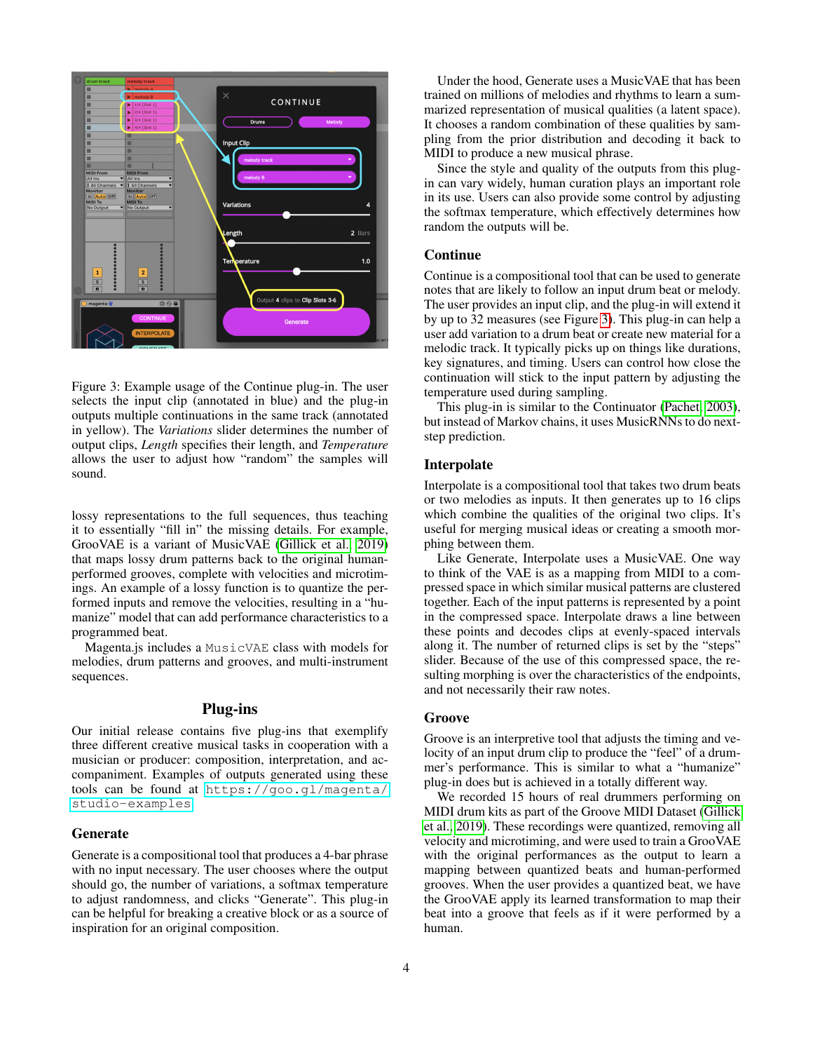

<span id="page-3-0"></span>Figure 3: Example usage of the Continue plug-in. The user selects the input clip (annotated in blue) and the plug-in outputs multiple continuations in the same track (annotated in yellow). The *Variations* slider determines the number of output clips, *Length* specifies their length, and *Temperature* allows the user to adjust how "random" the samples will sound.

lossy representations to the full sequences, thus teaching it to essentially "fill in" the missing details. For example, GrooVAE is a variant of MusicVAE [\(Gillick et al., 2019\)](#page-5-13) that maps lossy drum patterns back to the original humanperformed grooves, complete with velocities and microtimings. An example of a lossy function is to quantize the performed inputs and remove the velocities, resulting in a "humanize" model that can add performance characteristics to a programmed beat.

Magenta.js includes a MusicVAE class with models for melodies, drum patterns and grooves, and multi-instrument sequences.

# Plug-ins

Our initial release contains five plug-ins that exemplify three different creative musical tasks in cooperation with a musician or producer: composition, interpretation, and accompaniment. Examples of outputs generated using these tools can be found at [https://goo.gl/magenta/](https://goo.gl/magenta/studio-examples) [studio-examples](https://goo.gl/magenta/studio-examples).

## Generate

Generate is a compositional tool that produces a 4-bar phrase with no input necessary. The user chooses where the output should go, the number of variations, a softmax temperature to adjust randomness, and clicks "Generate". This plug-in can be helpful for breaking a creative block or as a source of inspiration for an original composition.

Under the hood, Generate uses a MusicVAE that has been trained on millions of melodies and rhythms to learn a summarized representation of musical qualities (a latent space). It chooses a random combination of these qualities by sampling from the prior distribution and decoding it back to MIDI to produce a new musical phrase.

Since the style and quality of the outputs from this plugin can vary widely, human curation plays an important role in its use. Users can also provide some control by adjusting the softmax temperature, which effectively determines how random the outputs will be.

#### Continue

Continue is a compositional tool that can be used to generate notes that are likely to follow an input drum beat or melody. The user provides an input clip, and the plug-in will extend it by up to 32 measures (see Figure [3\)](#page-3-0). This plug-in can help a user add variation to a drum beat or create new material for a melodic track. It typically picks up on things like durations, key signatures, and timing. Users can control how close the continuation will stick to the input pattern by adjusting the temperature used during sampling.

This plug-in is similar to the Continuator [\(Pachet, 2003\)](#page-5-1), but instead of Markov chains, it uses MusicRNNs to do nextstep prediction.

#### Interpolate

Interpolate is a compositional tool that takes two drum beats or two melodies as inputs. It then generates up to 16 clips which combine the qualities of the original two clips. It's useful for merging musical ideas or creating a smooth morphing between them.

Like Generate, Interpolate uses a MusicVAE. One way to think of the VAE is as a mapping from MIDI to a compressed space in which similar musical patterns are clustered together. Each of the input patterns is represented by a point in the compressed space. Interpolate draws a line between these points and decodes clips at evenly-spaced intervals along it. The number of returned clips is set by the "steps" slider. Because of the use of this compressed space, the resulting morphing is over the characteristics of the endpoints, and not necessarily their raw notes.

#### Groove

Groove is an interpretive tool that adjusts the timing and velocity of an input drum clip to produce the "feel" of a drummer's performance. This is similar to what a "humanize" plug-in does but is achieved in a totally different way.

We recorded 15 hours of real drummers performing on MIDI drum kits as part of the Groove MIDI Dataset [\(Gillick](#page-5-13) [et al., 2019\)](#page-5-13). These recordings were quantized, removing all velocity and microtiming, and were used to train a GrooVAE with the original performances as the output to learn a mapping between quantized beats and human-performed grooves. When the user provides a quantized beat, we have the GrooVAE apply its learned transformation to map their beat into a groove that feels as if it were performed by a human.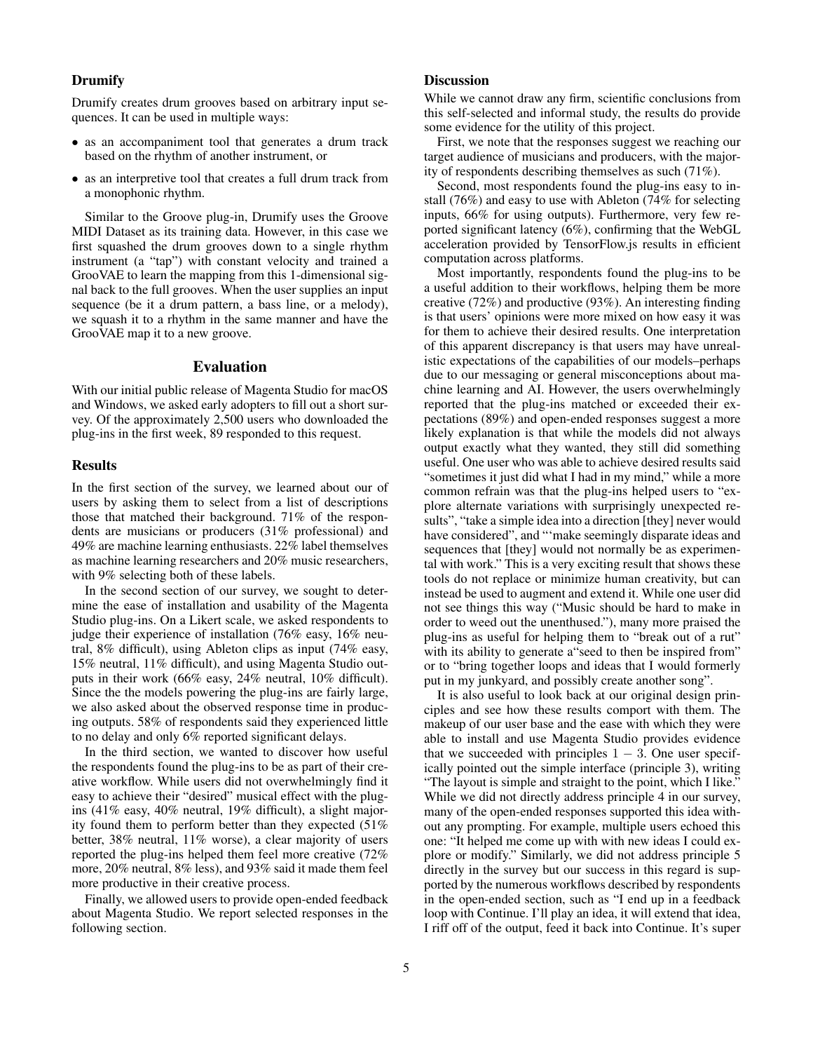## Drumify

Drumify creates drum grooves based on arbitrary input sequences. It can be used in multiple ways:

- as an accompaniment tool that generates a drum track based on the rhythm of another instrument, or
- as an interpretive tool that creates a full drum track from a monophonic rhythm.

Similar to the Groove plug-in, Drumify uses the Groove MIDI Dataset as its training data. However, in this case we first squashed the drum grooves down to a single rhythm instrument (a "tap") with constant velocity and trained a GrooVAE to learn the mapping from this 1-dimensional signal back to the full grooves. When the user supplies an input sequence (be it a drum pattern, a bass line, or a melody), we squash it to a rhythm in the same manner and have the GrooVAE map it to a new groove.

#### Evaluation

With our initial public release of Magenta Studio for macOS and Windows, we asked early adopters to fill out a short survey. Of the approximately 2,500 users who downloaded the plug-ins in the first week, 89 responded to this request.

#### Results

In the first section of the survey, we learned about our of users by asking them to select from a list of descriptions those that matched their background. 71% of the respondents are musicians or producers (31% professional) and 49% are machine learning enthusiasts. 22% label themselves as machine learning researchers and 20% music researchers, with 9% selecting both of these labels.

In the second section of our survey, we sought to determine the ease of installation and usability of the Magenta Studio plug-ins. On a Likert scale, we asked respondents to judge their experience of installation (76% easy, 16% neutral, 8% difficult), using Ableton clips as input (74% easy, 15% neutral, 11% difficult), and using Magenta Studio outputs in their work (66% easy, 24% neutral, 10% difficult). Since the the models powering the plug-ins are fairly large, we also asked about the observed response time in producing outputs. 58% of respondents said they experienced little to no delay and only 6% reported significant delays.

In the third section, we wanted to discover how useful the respondents found the plug-ins to be as part of their creative workflow. While users did not overwhelmingly find it easy to achieve their "desired" musical effect with the plugins (41% easy, 40% neutral, 19% difficult), a slight majority found them to perform better than they expected (51% better, 38% neutral, 11% worse), a clear majority of users reported the plug-ins helped them feel more creative (72% more, 20% neutral, 8% less), and 93% said it made them feel more productive in their creative process.

Finally, we allowed users to provide open-ended feedback about Magenta Studio. We report selected responses in the following section.

## **Discussion**

While we cannot draw any firm, scientific conclusions from this self-selected and informal study, the results do provide some evidence for the utility of this project.

First, we note that the responses suggest we reaching our target audience of musicians and producers, with the majority of respondents describing themselves as such (71%).

Second, most respondents found the plug-ins easy to install (76%) and easy to use with Ableton (74% for selecting inputs, 66% for using outputs). Furthermore, very few reported significant latency (6%), confirming that the WebGL acceleration provided by TensorFlow.js results in efficient computation across platforms.

Most importantly, respondents found the plug-ins to be a useful addition to their workflows, helping them be more creative (72%) and productive (93%). An interesting finding is that users' opinions were more mixed on how easy it was for them to achieve their desired results. One interpretation of this apparent discrepancy is that users may have unrealistic expectations of the capabilities of our models–perhaps due to our messaging or general misconceptions about machine learning and AI. However, the users overwhelmingly reported that the plug-ins matched or exceeded their expectations (89%) and open-ended responses suggest a more likely explanation is that while the models did not always output exactly what they wanted, they still did something useful. One user who was able to achieve desired results said "sometimes it just did what I had in my mind," while a more common refrain was that the plug-ins helped users to "explore alternate variations with surprisingly unexpected results", "take a simple idea into a direction [they] never would have considered", and "'make seemingly disparate ideas and sequences that [they] would not normally be as experimental with work." This is a very exciting result that shows these tools do not replace or minimize human creativity, but can instead be used to augment and extend it. While one user did not see things this way ("Music should be hard to make in order to weed out the unenthused."), many more praised the plug-ins as useful for helping them to "break out of a rut" with its ability to generate a seed to then be inspired from" or to "bring together loops and ideas that I would formerly put in my junkyard, and possibly create another song".

It is also useful to look back at our original design principles and see how these results comport with them. The makeup of our user base and the ease with which they were able to install and use Magenta Studio provides evidence that we succeeded with principles  $1 - 3$ . One user specifically pointed out the simple interface (principle 3), writing "The layout is simple and straight to the point, which I like." While we did not directly address principle 4 in our survey, many of the open-ended responses supported this idea without any prompting. For example, multiple users echoed this one: "It helped me come up with with new ideas I could explore or modify." Similarly, we did not address principle 5 directly in the survey but our success in this regard is supported by the numerous workflows described by respondents in the open-ended section, such as "I end up in a feedback loop with Continue. I'll play an idea, it will extend that idea, I riff off of the output, feed it back into Continue. It's super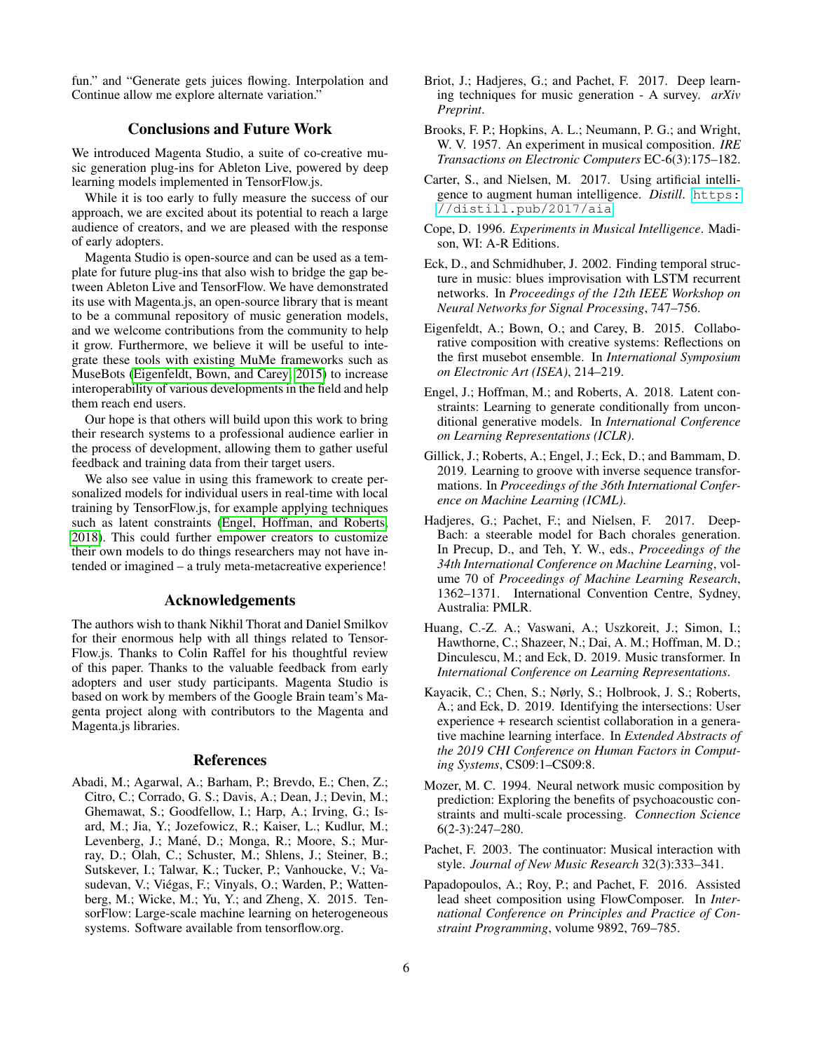fun." and "Generate gets juices flowing. Interpolation and Continue allow me explore alternate variation."

## Conclusions and Future Work

We introduced Magenta Studio, a suite of co-creative music generation plug-ins for Ableton Live, powered by deep learning models implemented in TensorFlow.js.

While it is too early to fully measure the success of our approach, we are excited about its potential to reach a large audience of creators, and we are pleased with the response of early adopters.

Magenta Studio is open-source and can be used as a template for future plug-ins that also wish to bridge the gap between Ableton Live and TensorFlow. We have demonstrated its use with Magenta.js, an open-source library that is meant to be a communal repository of music generation models, and we welcome contributions from the community to help it grow. Furthermore, we believe it will be useful to integrate these tools with existing MuMe frameworks such as MuseBots [\(Eigenfeldt, Bown, and Carey, 2015\)](#page-5-14) to increase interoperability of various developments in the field and help them reach end users.

Our hope is that others will build upon this work to bring their research systems to a professional audience earlier in the process of development, allowing them to gather useful feedback and training data from their target users.

We also see value in using this framework to create personalized models for individual users in real-time with local training by TensorFlow.js, for example applying techniques such as latent constraints [\(Engel, Hoffman, and Roberts,](#page-5-12) [2018\)](#page-5-12). This could further empower creators to customize their own models to do things researchers may not have intended or imagined – a truly meta-metacreative experience!

## Acknowledgements

The authors wish to thank Nikhil Thorat and Daniel Smilkov for their enormous help with all things related to Tensor-Flow.js. Thanks to Colin Raffel for his thoughtful review of this paper. Thanks to the valuable feedback from early adopters and user study participants. Magenta Studio is based on work by members of the Google Brain team's Magenta project along with contributors to the Magenta and Magenta.js libraries.

#### References

<span id="page-5-5"></span>Abadi, M.; Agarwal, A.; Barham, P.; Brevdo, E.; Chen, Z.; Citro, C.; Corrado, G. S.; Davis, A.; Dean, J.; Devin, M.; Ghemawat, S.; Goodfellow, I.; Harp, A.; Irving, G.; Isard, M.; Jia, Y.; Jozefowicz, R.; Kaiser, L.; Kudlur, M.; Levenberg, J.; Mané, D.; Monga, R.; Moore, S.; Murray, D.; Olah, C.; Schuster, M.; Shlens, J.; Steiner, B.; Sutskever, I.; Talwar, K.; Tucker, P.; Vanhoucke, V.; Vasudevan, V.; Viegas, F.; Vinyals, O.; Warden, P.; Watten- ´ berg, M.; Wicke, M.; Yu, Y.; and Zheng, X. 2015. TensorFlow: Large-scale machine learning on heterogeneous systems. Software available from tensorflow.org.

- <span id="page-5-9"></span>Briot, J.; Hadjeres, G.; and Pachet, F. 2017. Deep learning techniques for music generation - A survey. *arXiv Preprint*.
- <span id="page-5-10"></span>Brooks, F. P.; Hopkins, A. L.; Neumann, P. G.; and Wright, W. V. 1957. An experiment in musical composition. *IRE Transactions on Electronic Computers* EC-6(3):175–182.
- <span id="page-5-0"></span>Carter, S., and Nielsen, M. 2017. Using artificial intelligence to augment human intelligence. *Distill*. [https:](https://distill.pub/2017/aia) [//distill.pub/2017/aia](https://distill.pub/2017/aia).
- <span id="page-5-11"></span>Cope, D. 1996. *Experiments in Musical Intelligence*. Madison, WI: A-R Editions.
- <span id="page-5-8"></span>Eck, D., and Schmidhuber, J. 2002. Finding temporal structure in music: blues improvisation with LSTM recurrent networks. In *Proceedings of the 12th IEEE Workshop on Neural Networks for Signal Processing*, 747–756.
- <span id="page-5-14"></span>Eigenfeldt, A.; Bown, O.; and Carey, B. 2015. Collaborative composition with creative systems: Reflections on the first musebot ensemble. In *International Symposium on Electronic Art (ISEA)*, 214–219.
- <span id="page-5-12"></span>Engel, J.; Hoffman, M.; and Roberts, A. 2018. Latent constraints: Learning to generate conditionally from unconditional generative models. In *International Conference on Learning Representations (ICLR)*.
- <span id="page-5-13"></span>Gillick, J.; Roberts, A.; Engel, J.; Eck, D.; and Bammam, D. 2019. Learning to groove with inverse sequence transformations. In *Proceedings of the 36th International Conference on Machine Learning (ICML)*.
- <span id="page-5-3"></span>Hadjeres, G.; Pachet, F.; and Nielsen, F. 2017. Deep-Bach: a steerable model for Bach chorales generation. In Precup, D., and Teh, Y. W., eds., *Proceedings of the 34th International Conference on Machine Learning*, volume 70 of *Proceedings of Machine Learning Research*, 1362–1371. International Convention Centre, Sydney, Australia: PMLR.
- <span id="page-5-4"></span>Huang, C.-Z. A.; Vaswani, A.; Uszkoreit, J.; Simon, I.; Hawthorne, C.; Shazeer, N.; Dai, A. M.; Hoffman, M. D.; Dinculescu, M.; and Eck, D. 2019. Music transformer. In *International Conference on Learning Representations*.
- <span id="page-5-6"></span>Kayacik, C.; Chen, S.; Nørly, S.; Holbrook, J. S.; Roberts, A.; and Eck, D. 2019. Identifying the intersections: User experience + research scientist collaboration in a generative machine learning interface. In *Extended Abstracts of the 2019 CHI Conference on Human Factors in Computing Systems*, CS09:1–CS09:8.
- <span id="page-5-7"></span>Mozer, M. C. 1994. Neural network music composition by prediction: Exploring the benefits of psychoacoustic constraints and multi-scale processing. *Connection Science* 6(2-3):247–280.
- <span id="page-5-1"></span>Pachet, F. 2003. The continuator: Musical interaction with style. *Journal of New Music Research* 32(3):333–341.
- <span id="page-5-2"></span>Papadopoulos, A.; Roy, P.; and Pachet, F. 2016. Assisted lead sheet composition using FlowComposer. In *International Conference on Principles and Practice of Constraint Programming*, volume 9892, 769–785.